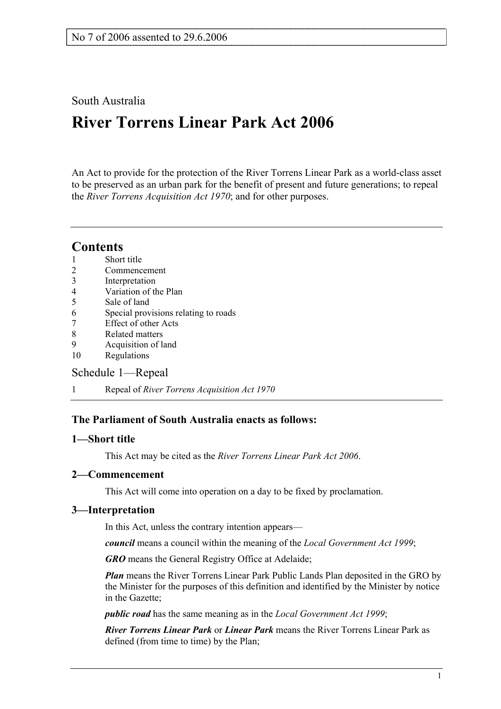## South Australia

# **River Torrens Linear Park Act 2006**

An Act to provide for the protection of the River Torrens Linear Park as a world-class asset to be preserved as an urban park for the benefit of present and future generations; to repeal the *River Torrens Acquisition Act 1970*; and for other purposes.

## **Contents**

- 2 Commencement
- 3 Interpretation
- 4 Variation of the Plan
- 5 Sale of land
- 6 Special provisions relating to roads
- 7 Effect of other Acts
- 8 Related matters
- 9 Acquisition of land
- 10 Regulations

## Schedule 1—Repeal

1 Repeal of *River Torrens Acquisition Act 1970*

## **The Parliament of South Australia enacts as follows:**

## **1—Short title**

This Act may be cited as the *River Torrens Linear Park Act 2006*.

## **2—Commencement**

This Act will come into operation on a day to be fixed by proclamation.

## **3—Interpretation**

In this Act, unless the contrary intention appears—

*council* means a council within the meaning of the *Local Government Act 1999*;

**GRO** means the General Registry Office at Adelaide;

*Plan* means the River Torrens Linear Park Public Lands Plan deposited in the GRO by the Minister for the purposes of this definition and identified by the Minister by notice in the Gazette;

*public road* has the same meaning as in the *Local Government Act 1999*;

*River Torrens Linear Park* or *Linear Park* means the River Torrens Linear Park as defined (from time to time) by the Plan;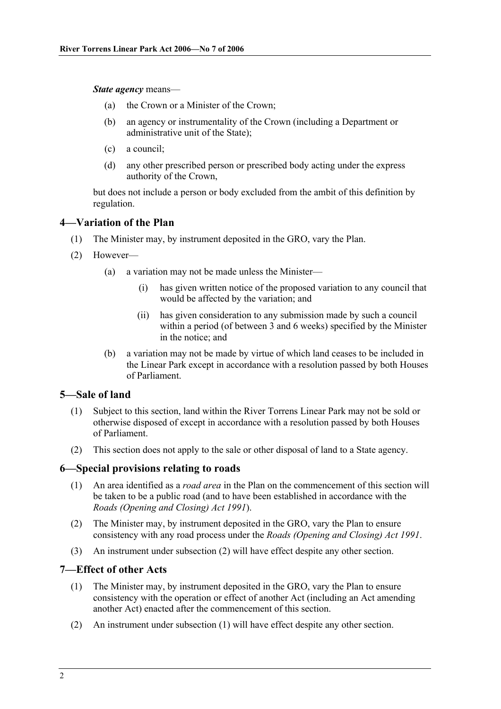*State agency* means—

- (a) the Crown or a Minister of the Crown;
- (b) an agency or instrumentality of the Crown (including a Department or administrative unit of the State);
- (c) a council;
- (d) any other prescribed person or prescribed body acting under the express authority of the Crown,

but does not include a person or body excluded from the ambit of this definition by regulation.

#### **4—Variation of the Plan**

- (1) The Minister may, by instrument deposited in the GRO, vary the Plan.
- (2) However—
	- (a) a variation may not be made unless the Minister—
		- (i) has given written notice of the proposed variation to any council that would be affected by the variation; and
		- (ii) has given consideration to any submission made by such a council within a period (of between 3 and 6 weeks) specified by the Minister in the notice; and
	- (b) a variation may not be made by virtue of which land ceases to be included in the Linear Park except in accordance with a resolution passed by both Houses of Parliament.

#### **5—Sale of land**

- (1) Subject to this section, land within the River Torrens Linear Park may not be sold or otherwise disposed of except in accordance with a resolution passed by both Houses of Parliament.
- (2) This section does not apply to the sale or other disposal of land to a State agency.

#### **6—Special provisions relating to roads**

- (1) An area identified as a *road area* in the Plan on the commencement of this section will be taken to be a public road (and to have been established in accordance with the *Roads (Opening and Closing) Act 1991*).
- (2) The Minister may, by instrument deposited in the GRO, vary the Plan to ensure consistency with any road process under the *Roads (Opening and Closing) Act 1991*.
- (3) An instrument under subsection (2) will have effect despite any other section.

#### **7—Effect of other Acts**

- (1) The Minister may, by instrument deposited in the GRO, vary the Plan to ensure consistency with the operation or effect of another Act (including an Act amending another Act) enacted after the commencement of this section.
- (2) An instrument under subsection (1) will have effect despite any other section.